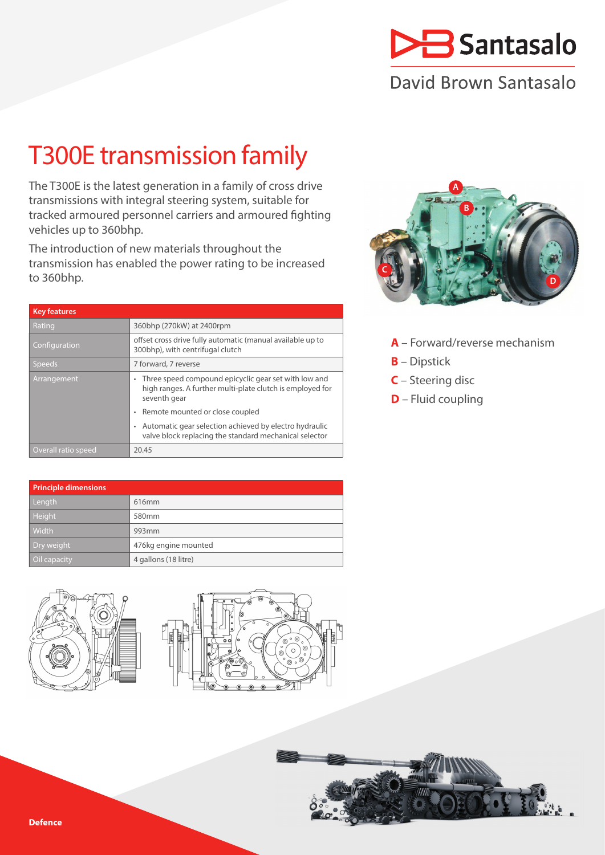

# David Brown Santasalo

# T300E transmission family

The T300E is the latest generation in a family of cross drive transmissions with integral steering system, suitable for tracked armoured personnel carriers and armoured fighting vehicles up to 360bhp.

The introduction of new materials throughout the transmission has enabled the power rating to be increased to 360bhp.

| <b>Key features</b> |                                                                                                                                        |  |  |
|---------------------|----------------------------------------------------------------------------------------------------------------------------------------|--|--|
| Rating              | 360bhp (270kW) at 2400rpm                                                                                                              |  |  |
| Configuration       | offset cross drive fully automatic (manual available up to<br>300bhp), with centrifugal clutch                                         |  |  |
| <b>Speeds</b>       | 7 forward, 7 reverse                                                                                                                   |  |  |
| Arrangement         | Three speed compound epicyclic gear set with low and<br>۰<br>high ranges. A further multi-plate clutch is employed for<br>seventh gear |  |  |
|                     | Remote mounted or close coupled<br>٠                                                                                                   |  |  |
|                     | Automatic gear selection achieved by electro hydraulic<br>۰<br>valve block replacing the standard mechanical selector                  |  |  |
| Overall ratio speed | 20.45                                                                                                                                  |  |  |

| <b>Principle dimensions</b> |                      |  |  |  |
|-----------------------------|----------------------|--|--|--|
| Length                      | 616mm                |  |  |  |
| Height <sup>1</sup>         | 580 <sub>mm</sub>    |  |  |  |
| Width                       | 993 <sub>mm</sub>    |  |  |  |
| Dry weight                  | 476kg engine mounted |  |  |  |
| Oil capacity                | 4 gallons (18 litre) |  |  |  |







- **A** Forward/reverse mechanism
- **B** Dipstick
- **C** Steering disc
- **D** Fluid coupling